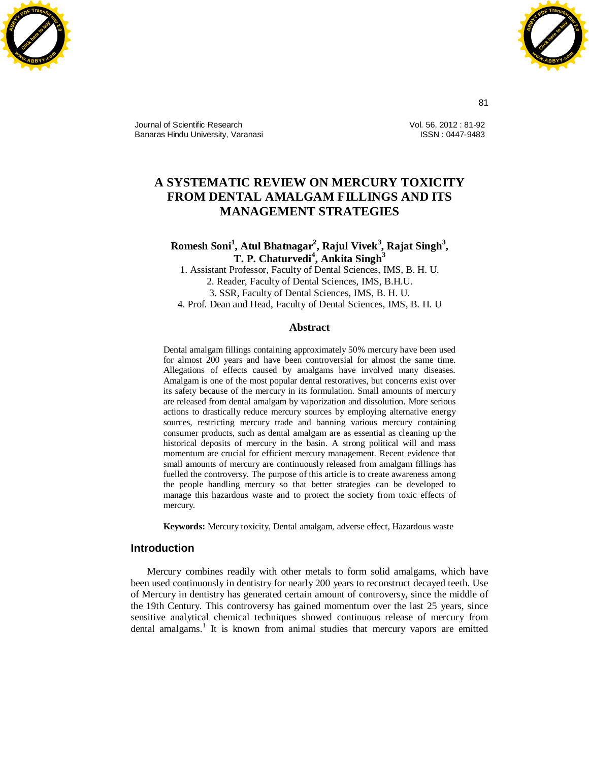



Journal of Scientific Research Banaras Hindu University, Varanasi Vol. 56, 2012 : 81-92 ISSN : 0447-9483

# **A SYSTEMATIC REVIEW ON MERCURY TOXICITY FROM DENTAL AMALGAM FILLINGS AND ITS MANAGEMENT STRATEGIES**

**Romesh Soni<sup>1</sup> , Atul Bhatnagar<sup>2</sup> , Rajul Vivek<sup>3</sup> , Rajat Singh<sup>3</sup> , T. P. Chaturvedi<sup>4</sup> , Ankita Singh<sup>3</sup>**

1. Assistant Professor, Faculty of Dental Sciences, IMS, B. H. U. 2. Reader, Faculty of Dental Sciences, IMS, B.H.U. 3. SSR, Faculty of Dental Sciences, IMS, B. H. U. 4. Prof. Dean and Head, Faculty of Dental Sciences, IMS, B. H. U

#### **Abstract**

Dental amalgam fillings containing approximately 50% mercury have been used for almost 200 years and have been controversial for almost the same time. Allegations of effects caused by amalgams have involved many diseases. Amalgam is one of the most popular dental restoratives, but concerns exist over its safety because of the mercury in its formulation. Small amounts of mercury are released from dental amalgam by vaporization and dissolution. More serious actions to drastically reduce mercury sources by employing alternative energy sources, restricting mercury trade and banning various mercury containing consumer products, such as dental amalgam are as essential as cleaning up the historical deposits of mercury in the basin. A strong political will and mass momentum are crucial for efficient mercury management. Recent evidence that small amounts of mercury are continuously released from amalgam fillings has fuelled the controversy. The purpose of this article is to create awareness among the people handling mercury so that better strategies can be developed to manage this hazardous waste and to protect the society from toxic effects of mercury.

**Keywords:** Mercury toxicity, Dental amalgam, adverse effect, Hazardous waste

# **Introduction**

Mercury combines readily with other metals to form solid amalgams, which have been used continuously in dentistry for nearly 200 years to reconstruct decayed teeth. Use of Mercury in dentistry has generated certain amount of controversy, since the middle of the 19th Century. This controversy has gained momentum over the last 25 years, since sensitive analytical chemical techniques showed continuous release of mercury from dental amalgams.<sup>1</sup> It is known from animal studies that mercury vapors are emitted

81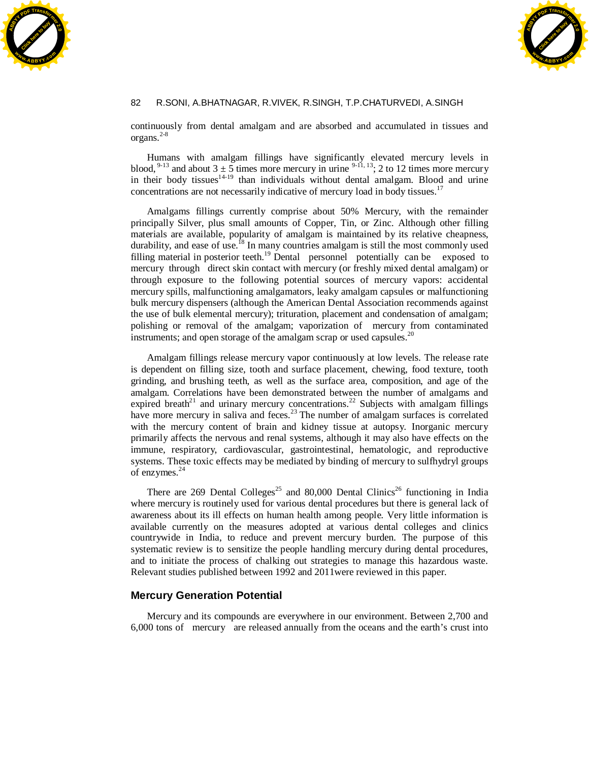



continuously from dental amalgam and are absorbed and accumulated in tissues and organs. 2-8

Humans with amalgam fillings have significantly elevated mercury levels in blood, <sup>9-13</sup> and about  $3 \pm 5$  times more mercury in urine <sup>9-11, 13</sup>; 2 to 12 times more mercury in their body tissues $14-19$  than individuals without dental amalgam. Blood and urine concentrations are not necessarily indicative of mercury load in body tissues.<sup>17</sup>

 Amalgams fillings currently comprise about 50% Mercury, with the remainder principally Silver, plus small amounts of Copper, Tin, or Zinc. Although other filling materials are available, popularity of amalgam is maintained by its relative cheapness, durability, and ease of use.<sup>18</sup> In many countries amalgam is still the most commonly used filling material in posterior teeth.<sup>19</sup> Dental personnel potentially can be exposed to mercury through direct skin contact with mercury (or freshly mixed dental amalgam) or through exposure to the following potential sources of mercury vapors: accidental mercury spills, malfunctioning amalgamators, leaky amalgam capsules or malfunctioning bulk mercury dispensers (although the American Dental Association recommends against the use of bulk elemental mercury); trituration, placement and condensation of amalgam; polishing or removal of the amalgam; vaporization of mercury from contaminated instruments; and open storage of the amalgam scrap or used capsules.<sup>20</sup>

Amalgam fillings release mercury vapor continuously at low levels. The release rate is dependent on filling size, tooth and surface placement, chewing, food texture, tooth grinding, and brushing teeth, as well as the surface area, composition, and age of the amalgam. Correlations have been demonstrated between the number of amalgams and expired breath<sup>21</sup> and urinary mercury concentrations.<sup>22</sup> Subjects with amalgam fillings have more mercury in saliva and feces.<sup>23</sup> The number of amalgam surfaces is correlated with the mercury content of brain and kidney tissue at autopsy. Inorganic mercury primarily affects the nervous and renal systems, although it may also have effects on the immune, respiratory, cardiovascular, gastrointestinal, hematologic, and reproductive systems. These toxic effects may be mediated by binding of mercury to sulfhydryl groups of enzymes.<sup>24</sup>

There are 269 Dental Colleges<sup>25</sup> and 80,000 Dental Clinics<sup>26</sup> functioning in India where mercury is routinely used for various dental procedures but there is general lack of awareness about its ill effects on human health among people. Very little information is available currently on the measures adopted at various dental colleges and clinics countrywide in India, to reduce and prevent mercury burden. The purpose of this systematic review is to sensitize the people handling mercury during dental procedures, and to initiate the process of chalking out strategies to manage this hazardous waste. Relevant studies published between 1992 and 2011were reviewed in this paper.

# **Mercury Generation Potential**

 Mercury and its compounds are everywhere in our environment. Between 2,700 and 6,000 tons of mercury are released annually from the oceans and the earth's crust into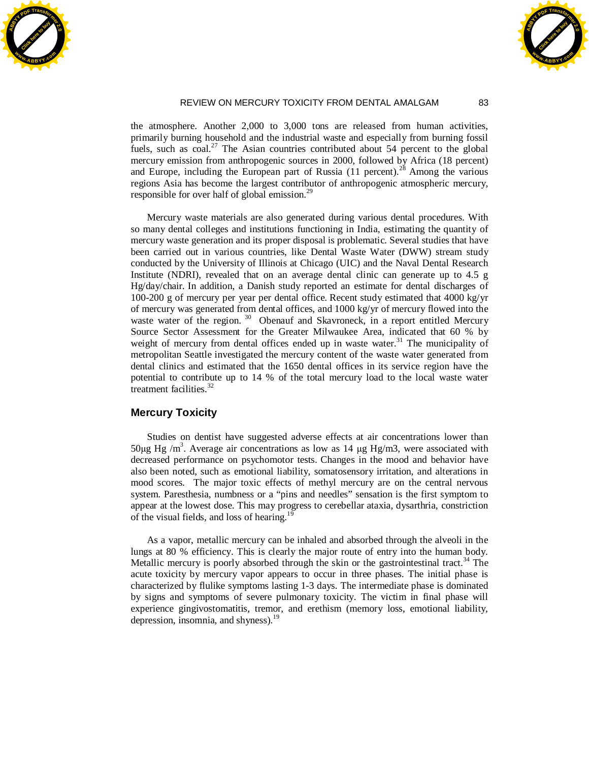



the atmosphere. Another 2,000 to 3,000 tons are released from human activities, primarily burning household and the industrial waste and especially from burning fossil fuels, such as  $\cosh^{27}$  The Asian countries contributed about 54 percent to the global mercury emission from anthropogenic sources in 2000, followed by Africa (18 percent) and Europe, including the European part of Russia (11 percent).<sup>28</sup> Among the various regions Asia has become the largest contributor of anthropogenic atmospheric mercury, responsible for over half of global emission.<sup>29</sup>

 Mercury waste materials are also generated during various dental procedures. With so many dental colleges and institutions functioning in India, estimating the quantity of mercury waste generation and its proper disposal is problematic. Several studies that have been carried out in various countries, like Dental Waste Water (DWW) stream study conducted by the University of Illinois at Chicago (UIC) and the Naval Dental Research Institute (NDRI), revealed that on an average dental clinic can generate up to 4.5 g Hg/day/chair. In addition, a Danish study reported an estimate for dental discharges of 100-200 g of mercury per year per dental office. Recent study estimated that 4000 kg/yr of mercury was generated from dental offices, and 1000 kg/yr of mercury flowed into the waste water of the region.<sup>30</sup> Obenauf and Skavroneck, in a report entitled Mercury Source Sector Assessment for the Greater Milwaukee Area, indicated that 60 % by weight of mercury from dental offices ended up in waste water.<sup>31</sup> The municipality of metropolitan Seattle investigated the mercury content of the waste water generated from dental clinics and estimated that the 1650 dental offices in its service region have the potential to contribute up to 14 % of the total mercury load to the local waste water treatment facilities. $32$ 

# **Mercury Toxicity**

 Studies on dentist have suggested adverse effects at air concentrations lower than 50µg Hg /m<sup>3</sup>. Average air concentrations as low as 14 µg Hg/m3, were associated with decreased performance on psychomotor tests. Changes in the mood and behavior have also been noted, such as emotional liability, somatosensory irritation, and alterations in mood scores. The major toxic effects of methyl mercury are on the central nervous system. Paresthesia, numbness or a "pins and needles" sensation is the first symptom to appear at the lowest dose. This may progress to cerebellar ataxia, dysarthria, constriction of the visual fields, and loss of hearing.<sup>19</sup>

 As a vapor, metallic mercury can be inhaled and absorbed through the alveoli in the lungs at 80 % efficiency. This is clearly the major route of entry into the human body. Metallic mercury is poorly absorbed through the skin or the gastrointestinal tract.<sup>34</sup> The acute toxicity by mercury vapor appears to occur in three phases. The initial phase is characterized by flulike symptoms lasting 1-3 days. The intermediate phase is dominated by signs and symptoms of severe pulmonary toxicity. The victim in final phase will experience gingivostomatitis, tremor, and erethism (memory loss, emotional liability, depression, insomnia, and shyness). $19$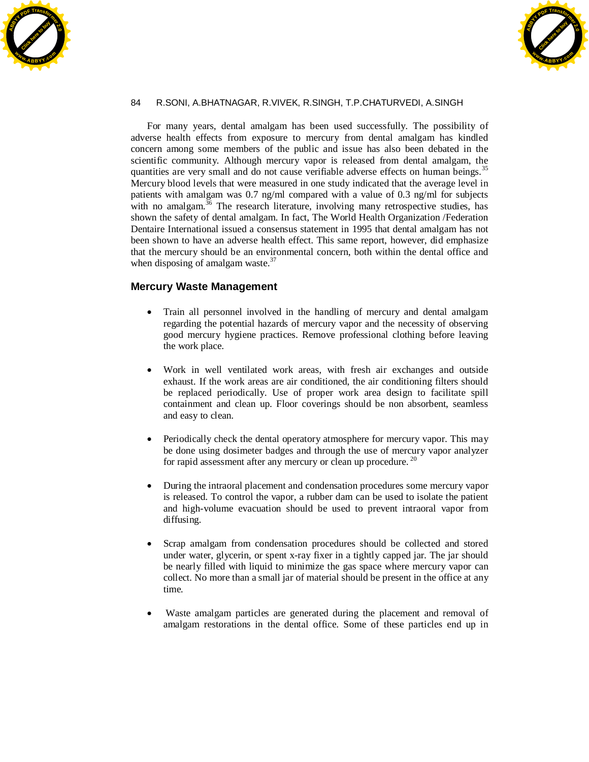



 For many years, dental amalgam has been used successfully. The possibility of adverse health effects from exposure to mercury from dental amalgam has kindled concern among some members of the public and issue has also been debated in the scientific community. Although mercury vapor is released from dental amalgam, the quantities are very small and do not cause verifiable adverse effects on human beings.<sup>35</sup> Mercury blood levels that were measured in one study indicated that the average level in patients with amalgam was 0.7 ng/ml compared with a value of 0.3 ng/ml for subjects with no amalgam. $36$  The research literature, involving many retrospective studies, has shown the safety of dental amalgam. In fact, The World Health Organization /Federation Dentaire International issued a consensus statement in 1995 that dental amalgam has not been shown to have an adverse health effect. This same report, however, did emphasize that the mercury should be an environmental concern, both within the dental office and when disposing of amalgam waste. $37$ 

# **Mercury Waste Management**

- Train all personnel involved in the handling of mercury and dental amalgam regarding the potential hazards of mercury vapor and the necessity of observing good mercury hygiene practices. Remove professional clothing before leaving the work place.
- x Work in well ventilated work areas, with fresh air exchanges and outside exhaust. If the work areas are air conditioned, the air conditioning filters should be replaced periodically. Use of proper work area design to facilitate spill containment and clean up. Floor coverings should be non absorbent, seamless and easy to clean.
- Periodically check the dental operatory atmosphere for mercury vapor. This may be done using dosimeter badges and through the use of mercury vapor analyzer for rapid assessment after any mercury or clean up procedure.<sup>20</sup>
- During the intraoral placement and condensation procedures some mercury vapor is released. To control the vapor, a rubber dam can be used to isolate the patient and high-volume evacuation should be used to prevent intraoral vapor from diffusing.
- Scrap amalgam from condensation procedures should be collected and stored under water, glycerin, or spent x-ray fixer in a tightly capped jar. The jar should be nearly filled with liquid to minimize the gas space where mercury vapor can collect. No more than a small jar of material should be present in the office at any time.
- Waste amalgam particles are generated during the placement and removal of amalgam restorations in the dental office. Some of these particles end up in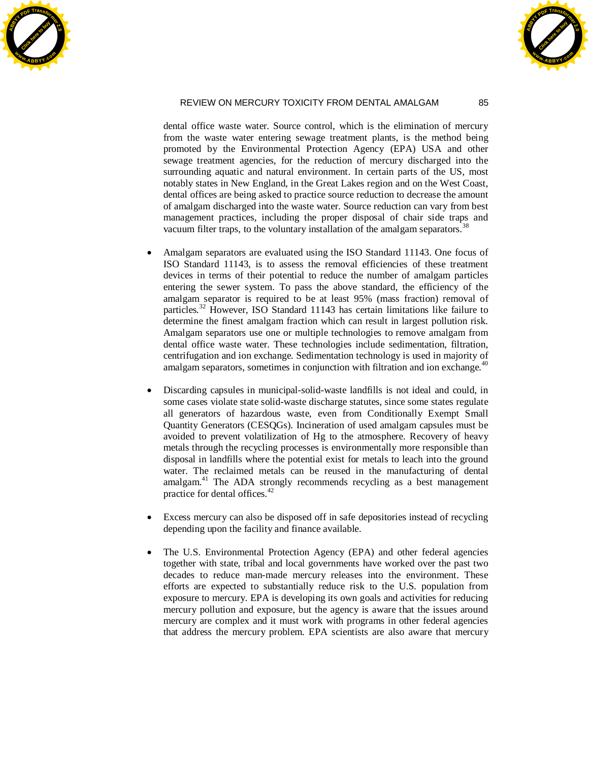



dental office waste water. Source control, which is the elimination of mercury from the waste water entering sewage treatment plants, is the method being promoted by the Environmental Protection Agency (EPA) USA and other sewage treatment agencies, for the reduction of mercury discharged into the surrounding aquatic and natural environment. In certain parts of the US, most notably states in New England, in the Great Lakes region and on the West Coast, dental offices are being asked to practice source reduction to decrease the amount of amalgam discharged into the waste water. Source reduction can vary from best management practices, including the proper disposal of chair side traps and vacuum filter traps, to the voluntary installation of the amalgam separators.<sup>38</sup>

- Amalgam separators are evaluated using the ISO Standard 11143. One focus of ISO Standard 11143, is to assess the removal efficiencies of these treatment devices in terms of their potential to reduce the number of amalgam particles entering the sewer system. To pass the above standard, the efficiency of the amalgam separator is required to be at least 95% (mass fraction) removal of particles.<sup>32</sup> However, ISO Standard 11143 has certain limitations like failure to determine the finest amalgam fraction which can result in largest pollution risk. Amalgam separators use one or multiple technologies to remove amalgam from dental office waste water. These technologies include sedimentation, filtration, centrifugation and ion exchange. Sedimentation technology is used in majority of amalgam separators, sometimes in conjunction with filtration and ion exchange.<sup>40</sup>
- Discarding capsules in municipal-solid-waste landfills is not ideal and could, in some cases violate state solid-waste discharge statutes, since some states regulate all generators of hazardous waste, even from Conditionally Exempt Small Quantity Generators (CESQGs). Incineration of used amalgam capsules must be avoided to prevent volatilization of Hg to the atmosphere. Recovery of heavy metals through the recycling processes is environmentally more responsible than disposal in landfills where the potential exist for metals to leach into the ground water. The reclaimed metals can be reused in the manufacturing of dental amalgam.<sup>41</sup> The ADA strongly recommends recycling as a best management practice for dental offices.<sup>42</sup>
- x Excess mercury can also be disposed off in safe depositories instead of recycling depending upon the facility and finance available.
- The U.S. Environmental Protection Agency (EPA) and other federal agencies together with state, tribal and local governments have worked over the past two decades to reduce man-made mercury releases into the environment. These efforts are expected to substantially reduce risk to the U.S. population from exposure to mercury. EPA is developing its own goals and activities for reducing mercury pollution and exposure, but the agency is aware that the issues around mercury are complex and it must work with programs in other federal agencies that address the mercury problem. EPA scientists are also aware that mercury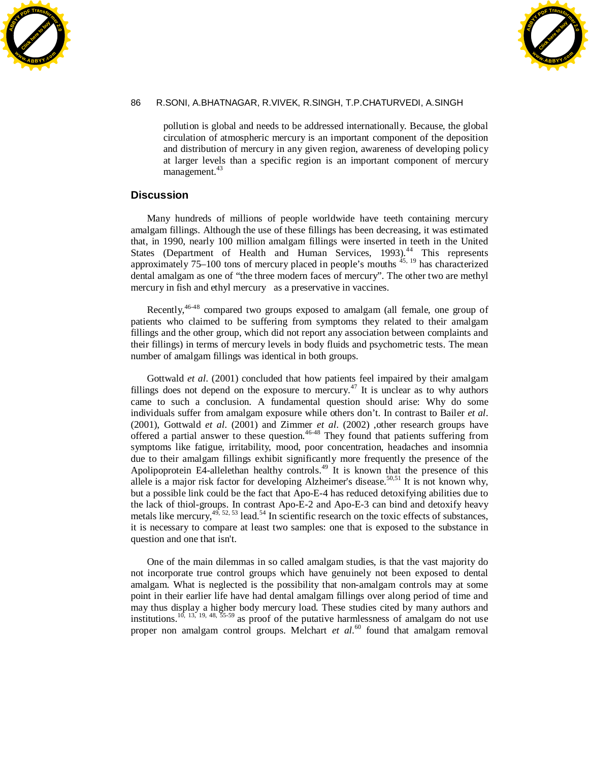



pollution is global and needs to be addressed internationally. Because, the global circulation of atmospheric mercury is an important component of the deposition and distribution of mercury in any given region, awareness of developing policy at larger levels than a specific region is an important component of mercury management.<sup>43</sup>

## **Discussion**

 Many hundreds of millions of people worldwide have teeth containing mercury amalgam fillings. Although the use of these fillings has been decreasing, it was estimated that, in 1990, nearly 100 million amalgam fillings were inserted in teeth in the United States (Department of Health and Human Services, 1993).<sup>44</sup> This represents approximately 75–100 tons of mercury placed in people's mouths <sup>45, 19</sup> has characterized dental amalgam as one of "the three modern faces of mercury". The other two are methyl mercury in fish and ethyl mercury as a preservative in vaccines.

Recently,<sup>46-48</sup> compared two groups exposed to amalgam (all female, one group of patients who claimed to be suffering from symptoms they related to their amalgam fillings and the other group, which did not report any association between complaints and their fillings) in terms of mercury levels in body fluids and psychometric tests. The mean number of amalgam fillings was identical in both groups.

 Gottwald *et al*. (2001) concluded that how patients feel impaired by their amalgam fillings does not depend on the exposure to mercury.<sup>47</sup> It is unclear as to why authors came to such a conclusion. A fundamental question should arise: Why do some individuals suffer from amalgam exposure while others don't. In contrast to Bailer *et al*. (2001), Gottwald *et al*. (2001) and Zimmer *et al*. (2002) ,other research groups have offered a partial answer to these question.<sup>46-48</sup> They found that patients suffering from symptoms like fatigue, irritability, mood, poor concentration, headaches and insomnia due to their amalgam fillings exhibit significantly more frequently the presence of the Apolipoprotein E4-allelethan healthy controls.<sup>49</sup> It is known that the presence of this allele is a major risk factor for developing Alzheimer's disease.<sup>50,51</sup> It is not known why, but a possible link could be the fact that Apo-E-4 has reduced detoxifying abilities due to the lack of thiol-groups. In contrast Apo-E-2 and Apo-E-3 can bind and detoxify heavy metals like mercury, $4^{4, 52, 53}$  lead.<sup>54</sup> In scientific research on the toxic effects of substances, it is necessary to compare at least two samples: one that is exposed to the substance in question and one that isn't.

 One of the main dilemmas in so called amalgam studies, is that the vast majority do not incorporate true control groups which have genuinely not been exposed to dental amalgam. What is neglected is the possibility that non-amalgam controls may at some point in their earlier life have had dental amalgam fillings over along period of time and may thus display a higher body mercury load. These studies cited by many authors and institutions.<sup>10, 13, 19, 48, 55-59</sup> as proof of the putative harmlessness of amalgam do not use proper non amalgam control groups. Melchart *et al.*<sup>60</sup> found that amalgam removal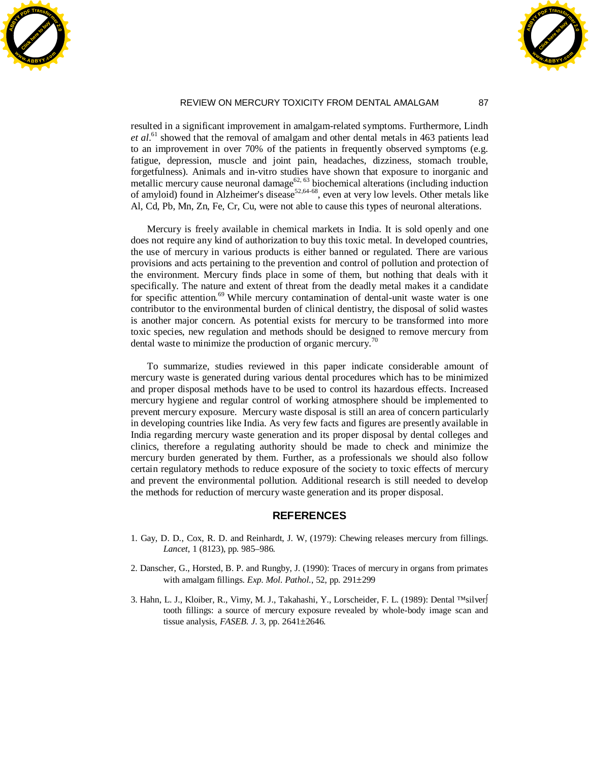



resulted in a significant improvement in amalgam-related symptoms. Furthermore, Lindh et al.<sup>61</sup> showed that the removal of amalgam and other dental metals in 463 patients lead to an improvement in over 70% of the patients in frequently observed symptoms (e.g. fatigue, depression, muscle and joint pain, headaches, dizziness, stomach trouble, forgetfulness). Animals and in-vitro studies have shown that exposure to inorganic and metallic mercury cause neuronal damage<sup>62, 63</sup> biochemical alterations (including induction of amyloid) found in Alzheimer's disease<sup>52,64-68</sup>, even at very low levels. Other metals like Al, Cd, Pb, Mn, Zn, Fe, Cr, Cu, were not able to cause this types of neuronal alterations.

 Mercury is freely available in chemical markets in India. It is sold openly and one does not require any kind of authorization to buy this toxic metal. In developed countries, the use of mercury in various products is either banned or regulated. There are various provisions and acts pertaining to the prevention and control of pollution and protection of the environment. Mercury finds place in some of them, but nothing that deals with it specifically. The nature and extent of threat from the deadly metal makes it a candidate for specific attention.<sup>69</sup> While mercury contamination of dental-unit waste water is one contributor to the environmental burden of clinical dentistry, the disposal of solid wastes is another major concern. As potential exists for mercury to be transformed into more toxic species, new regulation and methods should be designed to remove mercury from dental waste to minimize the production of organic mercury.<sup>70</sup>

 To summarize, studies reviewed in this paper indicate considerable amount of mercury waste is generated during various dental procedures which has to be minimized and proper disposal methods have to be used to control its hazardous effects. Increased mercury hygiene and regular control of working atmosphere should be implemented to prevent mercury exposure. Mercury waste disposal is still an area of concern particularly in developing countries like India. As very few facts and figures are presently available in India regarding mercury waste generation and its proper disposal by dental colleges and clinics, therefore a regulating authority should be made to check and minimize the mercury burden generated by them. Further, as a professionals we should also follow certain regulatory methods to reduce exposure of the society to toxic effects of mercury and prevent the environmental pollution. Additional research is still needed to develop the methods for reduction of mercury waste generation and its proper disposal.

#### **REFERENCES**

- 1. Gay, D. D., Cox, R. D. and Reinhardt, J. W, (1979): Chewing releases mercury from fillings. *Lancet*, 1 (8123), pp. 985–986.
- 2. Danscher, G., Horsted, B. P. and Rungby, J. (1990): Traces of mercury in organs from primates with amalgam fillings. *Exp. Mol. Pathol*., 52, pp. 291±299
- 3. Hahn, L. J., Kloiber, R., Vimy, M. J., Takahashi, Y., Lorscheider, F. L. (1989): Dental ™silver tooth fillings: a source of mercury exposure revealed by whole-body image scan and tissue analysis, *FASEB. J*. 3, pp. 2641±2646.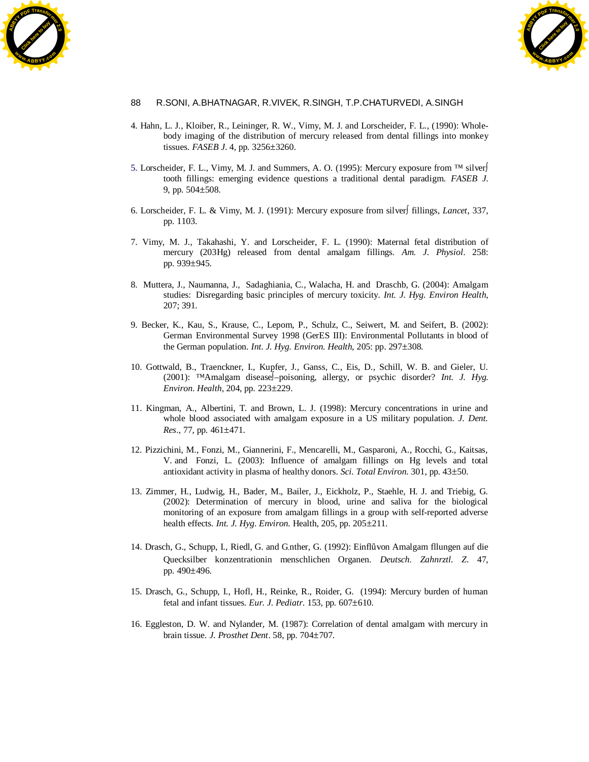



- 4. Hahn, L. J., Kloiber, R., Leininger, R. W., Vimy, M. J. and Lorscheider, F. L., (1990): Wholebody imaging of the distribution of mercury released from dental fillings into monkey tissues. *FASEB J*. 4, pp. 3256±3260.
- 5. Lorscheider, F. L., Vimy, M. J. and Summers, A. O. (1995): Mercury exposure from ™ silver tooth fillings: emerging evidence questions a traditional dental paradigm. *FASEB J*. 9, pp. 504±508.
- 6. Lorscheider, F. L. & Vimy, M. J. (1991): Mercury exposure from silver fillings, *Lancet*, 337, pp. 1103.
- 7. Vimy, M. J., Takahashi, Y. and Lorscheider, F. L. (1990): Maternal fetal distribution of mercury (203Hg) released from dental amalgam fillings. *Am. J. Physiol*. 258: pp. 939±945.
- 8. Muttera, J., Naumanna, J., Sadaghiania, C., Walacha, H. and Draschb, G. (2004): Amalgam studies: Disregarding basic principles of mercury toxicity. *Int. J. Hyg. Environ Health*, 207; 391.
- 9. Becker, K., Kau, S., Krause, C., Lepom, P., Schulz, C., Seiwert, M. and Seifert, B. (2002): German Environmental Survey 1998 (GerES III): Environmental Pollutants in blood of the German population. *Int. J. Hyg. Environ. Health*, 205: pp. 297±308.
- 10. Gottwald, B., Traenckner, I., Kupfer, J., Ganss, C., Eis, D., Schill, W. B. and Gieler, U. (2001): ™Amalgam disease<sup>[</sup>-poisoning, allergy, or psychic disorder? *Int. J. Hyg. Environ. Health*, 204, pp. 223±229.
- 11. Kingman, A., Albertini, T. and Brown, L. J. (1998): Mercury concentrations in urine and whole blood associated with amalgam exposure in a US military population. *J. Dent. Res*., 77, pp. 461±471.
- 12. Pizzichini, M., Fonzi, M., Giannerini, F., Mencarelli, M., Gasparoni, A., Rocchi, G., Kaitsas, V. and Fonzi, L. (2003): Influence of amalgam fillings on Hg levels and total antioxidant activity in plasma of healthy donors. *Sci. Total Environ*. 301, pp. 43±50.
- 13. Zimmer, H., Ludwig, H., Bader, M., Bailer, J., Eickholz, P., Staehle, H. J. and Triebig, G. (2002): Determination of mercury in blood, urine and saliva for the biological monitoring of an exposure from amalgam fillings in a group with self-reported adverse health effects. *Int. J. Hyg. Environ*. Health, 205, pp. 205±211.
- 14. Drasch, G., Schupp, I., Riedl, G. and Gᤸnther, G. (1992): Einflõvon Amalgam fllungen auf die Quecksilber konzentrationin menschlichen Organen. *Deutsch. Zahnrztl. Z*. 47, pp. 490±496.
- 15. Drasch, G., Schupp, I., Hofl, H., Reinke, R., Roider, G. (1994): Mercury burden of human fetal and infant tissues. *Eur. J. Pediatr*. 153, pp. 607±610.
- 16. Eggleston, D. W. and Nylander, M. (1987): Correlation of dental amalgam with mercury in brain tissue. *J. Prosthet Dent*. 58, pp. 704±707.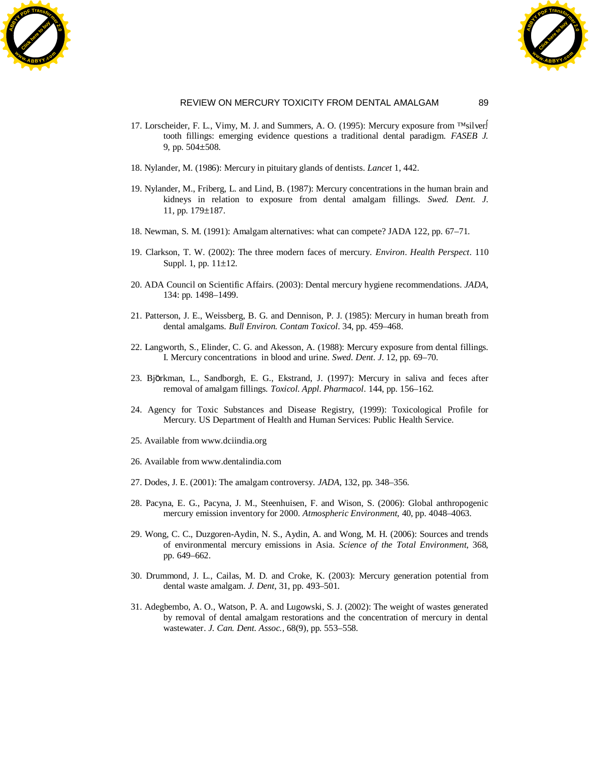



- 17. Lorscheider, F. L., Vimy, M. J. and Summers, A. O. (1995): Mercury exposure from ™silver tooth fillings: emerging evidence questions a traditional dental paradigm. *FASEB J.* 9, pp. 504±508.
- 18. Nylander, M. (1986): Mercury in pituitary glands of dentists. *Lancet* 1, 442.
- 19. Nylander, M., Friberg, L. and Lind, B. (1987): Mercury concentrations in the human brain and kidneys in relation to exposure from dental amalgam fillings. *Swed. Dent. J*. 11, pp. 179±187.
- 18. Newman, S. M. (1991): Amalgam alternatives: what can compete? JADA 122, pp. 67–71.
- 19. Clarkson, T. W. (2002): The three modern faces of mercury. *Environ*. *Health Perspect*. 110 Suppl. 1, pp. 11±12.
- 20. ADA Council on Scientific Affairs. (2003): Dental mercury hygiene recommendations. *JADA*, 134: pp. 1498–1499.
- 21. Patterson, J. E., Weissberg, B. G. and Dennison, P. J. (1985): Mercury in human breath from dental amalgams. *Bull Environ. Contam Toxicol*. 34, pp. 459–468.
- 22. Langworth, S., Elinder, C. G. and Akesson, A. (1988): Mercury exposure from dental fillings. I. Mercury concentrations in blood and urine. *Swed. Dent. J*. 12, pp. 69–70.
- 23. Björkman, L., Sandborgh, E. G., Ekstrand, J. (1997): Mercury in saliva and feces after removal of amalgam fillings. *Toxicol. Appl. Pharmacol*. 144, pp. 156–162.
- 24. Agency for Toxic Substances and Disease Registry, (1999): Toxicological Profile for Mercury. US Department of Health and Human Services: Public Health Service.
- 25. Available from [www.dciindia.org](http://www.dciindia.org/)
- 26. Available from [www.dentalindia.com](http://www.dentalindia.com/)
- 27. Dodes, J. E. (2001): The amalgam controversy. *JADA*, 132, pp. 348–356.
- 28. Pacyna, E. G., Pacyna, J. M., Steenhuisen, F. and Wison, S. (2006): Global anthropogenic mercury emission inventory for 2000. *Atmospheric Environment,* 40, pp. 4048–4063.
- 29. Wong, C. C., Duzgoren-Aydin, N. S., Aydin, A. and Wong, M. H. (2006): Sources and trends of environmental mercury emissions in Asia. *Science of the Total Environment*, 368, pp. 649–662.
- 30. Drummond, J. L., Cailas, M. D. and Croke, K. (2003): Mercury generation potential from dental waste amalgam. *J. Dent*, 31, pp. 493–501.
- 31. Adegbembo, A. O., Watson, P. A. and Lugowski, S. J. (2002): The weight of wastes generated by removal of dental amalgam restorations and the concentration of mercury in dental wastewater. *J. Can. Dent. Assoc.,* 68(9), pp. 553–558.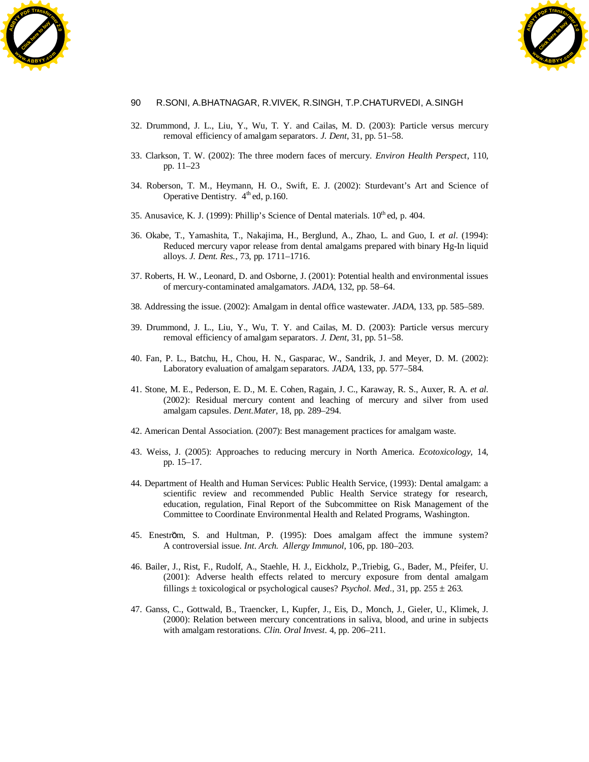



- 32. Drummond, J. L., Liu, Y., Wu, T. Y. and Cailas, M. D. (2003): Particle versus mercury removal efficiency of amalgam separators. *J. Dent*, 31, pp. 51–58.
- 33. Clarkson, T. W. (2002): The three modern faces of mercury. *Environ Health Perspect*, 110, pp. 11–23
- 34. Roberson, T. M., Heymann, H. O., Swift, E. J. (2002): Sturdevant's Art and Science of Operative Dentistry.  $4^{\text{th}}$  ed, p.160.
- 35. Anusavice, K. J. (1999): Phillip's Science of Dental materials.  $10^{th}$  ed, p. 404.
- 36. Okabe, T., Yamashita, T., Nakajima, H., Berglund, A., Zhao, L. and Guo, I. *et al*. (1994): Reduced mercury vapor release from dental amalgams prepared with binary Hg-In liquid alloys. *J. Dent. Res.*, 73, pp. 1711–1716.
- 37. Roberts, H. W., Leonard, D. and Osborne, J. (2001): Potential health and environmental issues of mercury-contaminated amalgamators. *JADA*, 132, pp. 58–64.
- 38. Addressing the issue. (2002): Amalgam in dental office wastewater. *JADA*, 133, pp. 585–589.
- 39. Drummond, J. L., Liu, Y., Wu, T. Y. and Cailas, M. D. (2003): Particle versus mercury removal efficiency of amalgam separators. *J. Dent*, 31, pp. 51–58.
- 40. Fan, P. L., Batchu, H., Chou, H. N., Gasparac, W., Sandrik, J. and Meyer, D. M. (2002): Laboratory evaluation of amalgam separators. *JADA*, 133, pp. 577–584.
- 41. Stone, M. E., Pederson, E. D., M. E. Cohen, Ragain, J. C., Karaway, R. S., Auxer, R. A. *et al*. (2002): Residual mercury content and leaching of mercury and silver from used amalgam capsules. *Dent.Mater,* 18, pp. 289–294.
- 42. American Dental Association. (2007): Best management practices for amalgam waste.
- 43. Weiss, J. (2005): Approaches to reducing mercury in North America. *Ecotoxicology,* 14, pp. 15–17.
- 44. Department of Health and Human Services: Public Health Service, (1993): Dental amalgam: a scientific review and recommended Public Health Service strategy for research, education, regulation, Final Report of the Subcommittee on Risk Management of the Committee to Coordinate Environmental Health and Related Programs, Washington.
- 45. Eneström, S. and Hultman, P. (1995): Does amalgam affect the immune system? A controversial issue. *Int. Arch. Allergy Immunol*, 106, pp. 180–203.
- 46. Bailer, J., Rist, F., Rudolf, A., Staehle, H. J., Eickholz, P.,Triebig, G., Bader, M., Pfeifer, U. (2001): Adverse health effects related to mercury exposure from dental amalgam fillings  $\pm$  toxicological or psychological causes? *Psychol. Med.*, 31, pp. 255  $\pm$  263.
- 47. Ganss, C., Gottwald, B., Traencker, I., Kupfer, J., Eis, D., Monch, J., Gieler, U., Klimek, J. (2000): Relation between mercury concentrations in saliva, blood, and urine in subjects with amalgam restorations. *Clin. Oral Invest*. 4, pp. 206–211.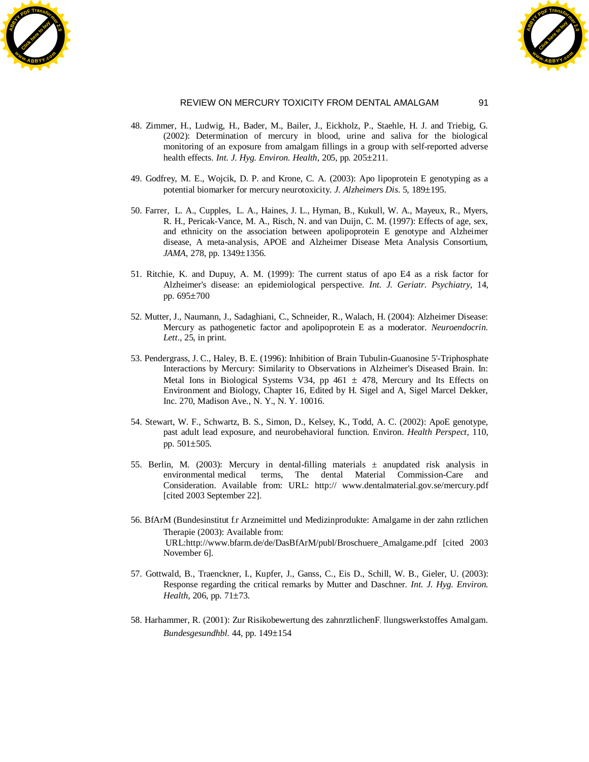



- 48. Zimmer, H., Ludwig, H., Bader, M., Bailer, J., Eickholz, P., Staehle, H. J. and Triebig, G. (2002): Determination of mercury in blood, urine and saliva for the biological monitoring of an exposure from amalgam fillings in a group with self-reported adverse health effects. *Int. J. Hyg. Environ. Health*, 205, pp. 205 $\pm$ 211.
- 49. Godfrey, M. E., Wojcik, D. P. and Krone, C. A. (2003): Apo lipoprotein E genotyping as a potential biomarker for mercury neurotoxicity. *J. Alzheimers Dis*. 5, 189±195.
- 50. Farrer, L. A., Cupples, L. A., Haines, J. L., Hyman, B., Kukull, W. A., Mayeux, R., Myers, R. H., Pericak-Vance, M. A., Risch, N. and van Duijn, C. M. (1997): Effects of age, sex, and ethnicity on the association between apolipoprotein E genotype and Alzheimer disease, A meta-analysis, APOE and Alzheimer Disease Meta Analysis Consortium, *JAMA*, 278, pp. 1349±1356.
- 51. Ritchie, K. and Dupuy, A. M. (1999): The current status of apo E4 as a risk factor for Alzheimer's disease: an epidemiological perspective. *Int. J. Geriatr. Psychiatry*, 14, pp. 695±700
- 52. Mutter, J., Naumann, J., Sadaghiani, C., Schneider, R., Walach, H. (2004): Alzheimer Disease: Mercury as pathogenetic factor and apolipoprotein E as a moderator. *Neuroendocrin. Lett*., 25, in print.
- 53. Pendergrass, J. C., Haley, B. E. (1996): Inhibition of Brain Tubulin-Guanosine 5'-Triphosphate Interactions by Mercury: Similarity to Observations in Alzheimer's Diseased Brain. In: Metal Ions in Biological Systems V34, pp 461  $\pm$  478, Mercury and Its Effects on Environment and Biology, Chapter 16, Edited by H. Sigel and A, Sigel Marcel Dekker, Inc. 270, Madison Ave., N. Y., N. Y. 10016.
- 54. Stewart, W. F., Schwartz, B. S., Simon, D., Kelsey, K., Todd, A. C. (2002): ApoE genotype, past adult lead exposure, and neurobehavioral function. Environ. *Health Perspect*, 110, pp. 501±505.
- 55. Berlin, M. (2003): Mercury in dental-filling materials  $\pm$  anupdated risk analysis in environmental medical terms, The dental Material Commission-Care and Consideration. Available from: URL: http:// [www.dentalmaterial.gov.se/mercury.pdf](http://www.dentalmaterial.gov.se/mercury.pdf) [cited 2003 September 22].
- 56. BfArM (Bundesinstitut f,r Arzneimittel und Medizinprodukte: Amalgame in der zahn rztlichen Therapie (2003): Available from: URL:http://www.bfarm.de/de/DasBfArM/publ/Broschuere\_Amalgame.pdf [cited 2003 November 6].
- 57. Gottwald, B., Traenckner, I., Kupfer, J., Ganss, C., Eis D., Schill, W. B., Gieler, U. (2003): Response regarding the critical remarks by Mutter and Daschner. *Int. J. Hyg. Environ. Health*, 206, pp. 71±73.
- 58. Harhammer, R. (2001): Zur Risikobewertung des zahnrztlichenF, llungswerkstoffes Amalgam. *Bundesgesundhbl*. 44, pp. 149±154